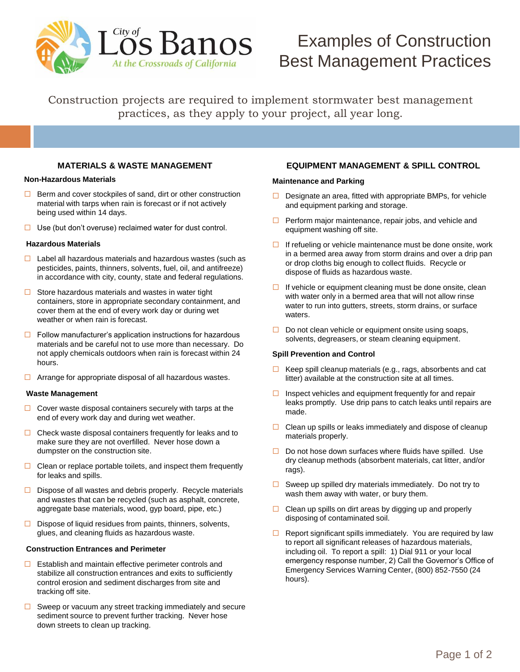

# Examples of Construction Best Management Practices

Construction projects are required to implement stormwater best management practices, as they apply to your project, all year long.

# **MATERIALS & WASTE MANAGEMENT**

## **Non-Hazardous Materials**

- $\Box$  Berm and cover stockpiles of sand, dirt or other construction material with tarps when rain is forecast or if not actively being used within 14 days.
- $\Box$  Use (but don't overuse) reclaimed water for dust control.

# **Hazardous Materials**

- $\Box$  Label all hazardous materials and hazardous wastes (such as pesticides, paints, thinners, solvents, fuel, oil, and antifreeze) in accordance with city, county, state and federal regulations.
- $\Box$  Store hazardous materials and wastes in water tight containers, store in appropriate secondary containment, and cover them at the end of every work day or during wet weather or when rain is forecast.
- $\Box$  Follow manufacturer's application instructions for hazardous materials and be careful not to use more than necessary. Do not apply chemicals outdoors when rain is forecast within 24 hours.
- $\Box$  Arrange for appropriate disposal of all hazardous wastes.

## **Waste Management**

- $\Box$  Cover waste disposal containers securely with tarps at the end of every work day and during wet weather.
- $\Box$  Check waste disposal containers frequently for leaks and to make sure they are not overfilled. Never hose down a dumpster on the construction site.
- $\Box$  Clean or replace portable toilets, and inspect them frequently for leaks and spills.
- $\Box$  Dispose of all wastes and debris properly. Recycle materials and wastes that can be recycled (such as asphalt, concrete, aggregate base materials, wood, gyp board, pipe, etc.)
- $\Box$  Dispose of liquid residues from paints, thinners, solvents, glues, and cleaning fluids as hazardous waste.

## **Construction Entrances and Perimeter**

- $\Box$  Establish and maintain effective perimeter controls and stabilize all construction entrances and exits to sufficiently control erosion and sediment discharges from site and tracking off site.
- $\Box$  Sweep or vacuum any street tracking immediately and secure sediment source to prevent further tracking. Never hose down streets to clean up tracking.

# **EQUIPMENT MANAGEMENT & SPILL CONTROL**

## **Maintenance and Parking**

- $\Box$  Designate an area, fitted with appropriate BMPs, for vehicle and equipment parking and storage.
- $\Box$  Perform major maintenance, repair jobs, and vehicle and equipment washing off site.
- $\Box$  If refueling or vehicle maintenance must be done onsite, work in a bermed area away from storm drains and over a drip pan or drop cloths big enough to collect fluids. Recycle or dispose of fluids as hazardous waste.
- $\Box$  If vehicle or equipment cleaning must be done onsite, clean with water only in a bermed area that will not allow rinse water to run into gutters, streets, storm drains, or surface waters.
- $\Box$  Do not clean vehicle or equipment onsite using soaps, solvents, degreasers, or steam cleaning equipment.

## **Spill Prevention and Control**

- $\Box$  Keep spill cleanup materials (e.g., rags, absorbents and cat litter) available at the construction site at all times.
- $\Box$  Inspect vehicles and equipment frequently for and repair leaks promptly. Use drip pans to catch leaks until repairs are made.
- $\Box$  Clean up spills or leaks immediately and dispose of cleanup materials properly.
- $\Box$  Do not hose down surfaces where fluids have spilled. Use dry cleanup methods (absorbent materials, cat litter, and/or rags).
- $\Box$  Sweep up spilled dry materials immediately. Do not try to wash them away with water, or bury them.
- $\Box$  Clean up spills on dirt areas by digging up and properly disposing of contaminated soil.
- $\Box$  Report significant spills immediately. You are required by law to report all significant releases of hazardous materials, including oil. To report a spill: 1) Dial 911 or your local emergency response number, 2) Call the Governor's Office of Emergency Services Warning Center, (800) 852-7550 (24 hours).